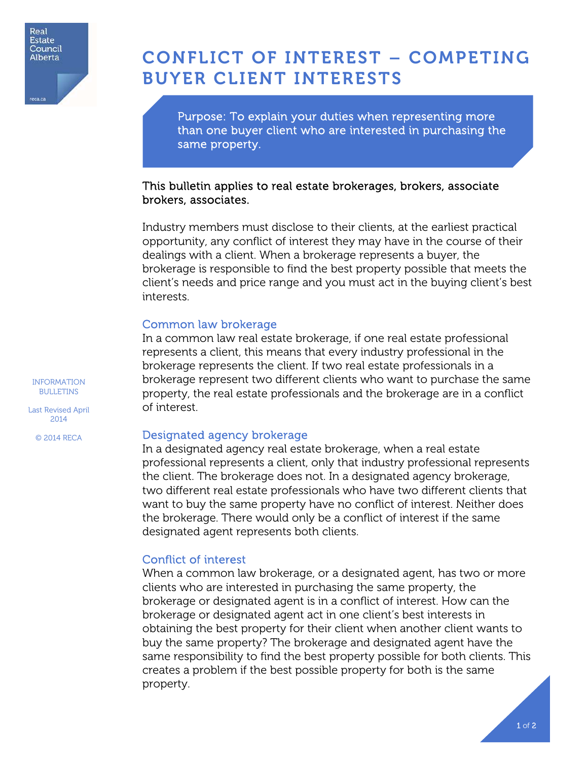

# CONFLICT OF INTEREST – COMPETING BUYER CLIENT INTERESTS

Purpose: To explain your duties when representing more than one buyer client who are interested in purchasing the same property.

## This bulletin applies to real estate brokerages, brokers, associate brokers, associates.

Industry members must disclose to their clients, at the earliest practical opportunity, any conflict of interest they may have in the course of their dealings with a client. When a brokerage represents a buyer, the brokerage is responsible to find the best property possible that meets the client's needs and price range and you must act in the buying client's best interests.

## Common law brokerage

In a common law real estate brokerage, if one real estate professional represents a client, this means that every industry professional in the brokerage represents the client. If two real estate professionals in a brokerage represent two different clients who want to purchase the same property, the real estate professionals and the brokerage are in a conflict of interest.

## Designated agency brokerage

In a designated agency real estate brokerage, when a real estate professional represents a client, only that industry professional represents the client. The brokerage does not. In a designated agency brokerage, two different real estate professionals who have two different clients that want to buy the same property have no conflict of interest. Neither does the brokerage. There would only be a conflict of interest if the same designated agent represents both clients.

# Conflict of interest

When a common law brokerage, or a designated agent, has two or more clients who are interested in purchasing the same property, the brokerage or designated agent is in a conflict of interest. How can the brokerage or designated agent act in one client's best interests in obtaining the best property for their client when another client wants to buy the same property? The brokerage and designated agent have the same responsibility to find the best property possible for both clients. This creates a problem if the best possible property for both is the same property.

INFORMATION BULLETINS

Last Revised April 2014

© 2014 RECA